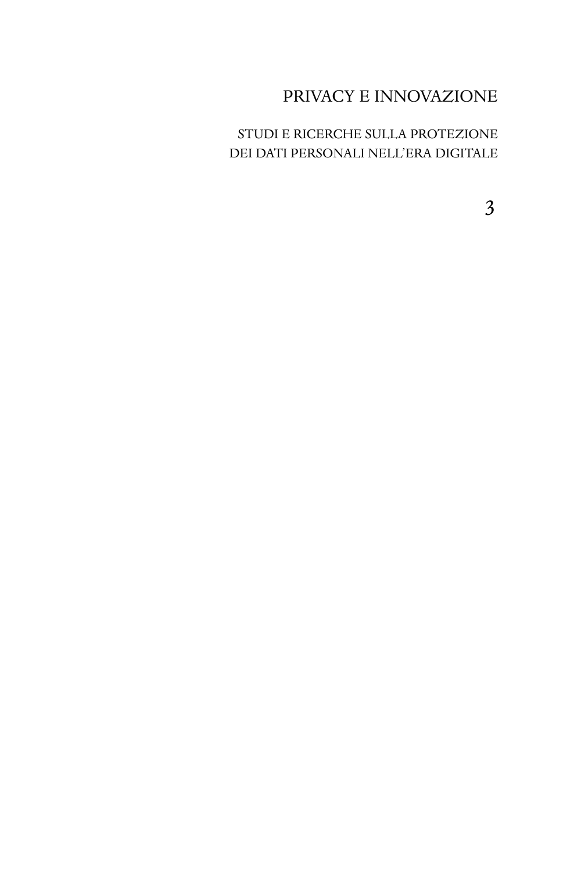## PRIVACY E INNOVAZIONE

### STUDI E RICERCHE SULLA PROTEZIONE DEI DATI PERSONALI NELL'ERA DIGITALE

 $\overline{3}$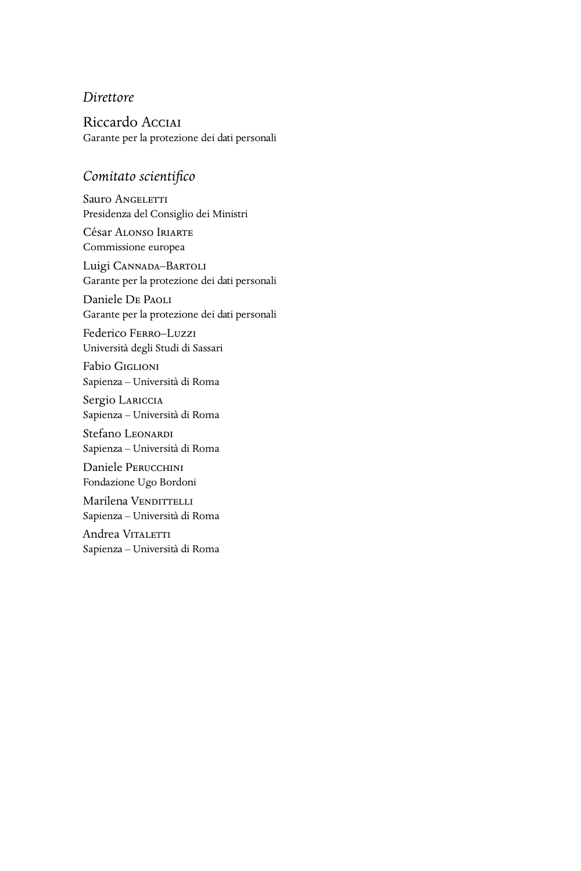#### *Direttore*

Riccardo A Garante per la protezione dei dati personali

#### *Comitato scientifico*

Sauro ANGELETTI Presidenza del Consiglio dei Ministri César Alonso Iriarte Commissione europea

Luigi CANNADA-BARTOLI Garante per la protezione dei dati personali

Daniele DE PAOLI Garante per la protezione dei dati personali

Federico FERRO-LUZZI Università degli Studi di Sassari

Fabio G Sapienza – Università di Roma

Sergio LARICCIA Sapienza – Università di Roma

Stefano LEONARDI Sapienza – Università di Roma

Daniele P Fondazione Ugo Bordoni

Marilena VENDITTELLI Sapienza – Università di Roma

Andrea V Sapienza – Università di Roma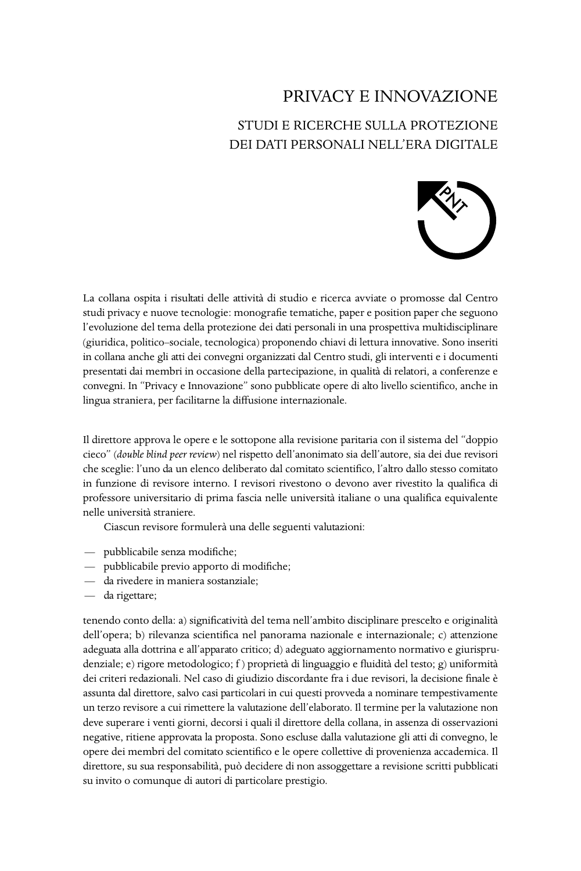## PRIVACY E INNOVAZIONE STUDI E RICERCHE SULLA PROTEZIONE

# DEI DATI PERSONALI NELL'ERA DIGITALE



La collana ospita i risultati delle attività di studio e ricerca avviate o promosse dal Centro studi privacy e nuove tecnologie: monografie tematiche, paper e position paper che seguono l'evoluzione del tema della protezione dei dati personali in una prospettiva multidisciplinare (giuridica, politico–sociale, tecnologica) proponendo chiavi di lettura innovative. Sono inseriti in collana anche gli atti dei convegni organizzati dal Centro studi, gli interventi e i documenti presentati dai membri in occasione della partecipazione, in qualità di relatori, a conferenze e convegni. In "Privacy e Innovazione" sono pubblicate opere di alto livello scientifico, anche in lingua straniera, per facilitarne la diffusione internazionale.

Il direttore approva le opere e le sottopone alla revisione paritaria con il sistema del "doppio cieco" (*double blind peer review*) nel rispetto dell'anonimato sia dell'autore, sia dei due revisori che sceglie: l'uno da un elenco deliberato dal comitato scientifico, l'altro dallo stesso comitato in funzione di revisore interno. I revisori rivestono o devono aver rivestito la qualifica di professore universitario di prima fascia nelle università italiane o una qualifica equivalente nelle università straniere.

Ciascun revisore formulerà una delle seguenti valutazioni:

- pubblicabile senza modifiche;
- pubblicabile previo apporto di modifiche;
- da rivedere in maniera sostanziale;
- da rigettare;

tenendo conto della: a) significatività del tema nell'ambito disciplinare prescelto e originalità dell'opera; b) rilevanza scientifica nel panorama nazionale e internazionale; c) attenzione adeguata alla dottrina e all'apparato critico; d) adeguato aggiornamento normativo e giurisprudenziale; e) rigore metodologico; f ) proprietà di linguaggio e fluidità del testo; g) uniformità dei criteri redazionali. Nel caso di giudizio discordante fra i due revisori, la decisione finale è assunta dal direttore, salvo casi particolari in cui questi provveda a nominare tempestivamente un terzo revisore a cui rimettere la valutazione dell'elaborato. Il termine per la valutazione non deve superare i venti giorni, decorsi i quali il direttore della collana, in assenza di osservazioni negative, ritiene approvata la proposta. Sono escluse dalla valutazione gli atti di convegno, le opere dei membri del comitato scientifico e le opere collettive di provenienza accademica. Il direttore, su sua responsabilità, può decidere di non assoggettare a revisione scritti pubblicati su invito o comunque di autori di particolare prestigio.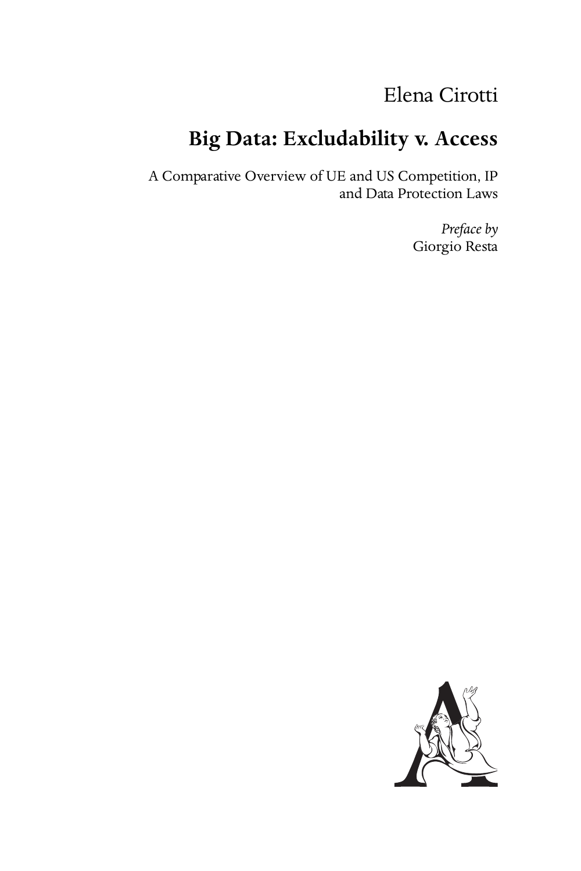# Elena Cirotti

# **Big Data: Excludability v. Access**

A Comparative Overview of UE and US Competition, IP and Data Protection Laws

> *Preface by* Giorgio Resta

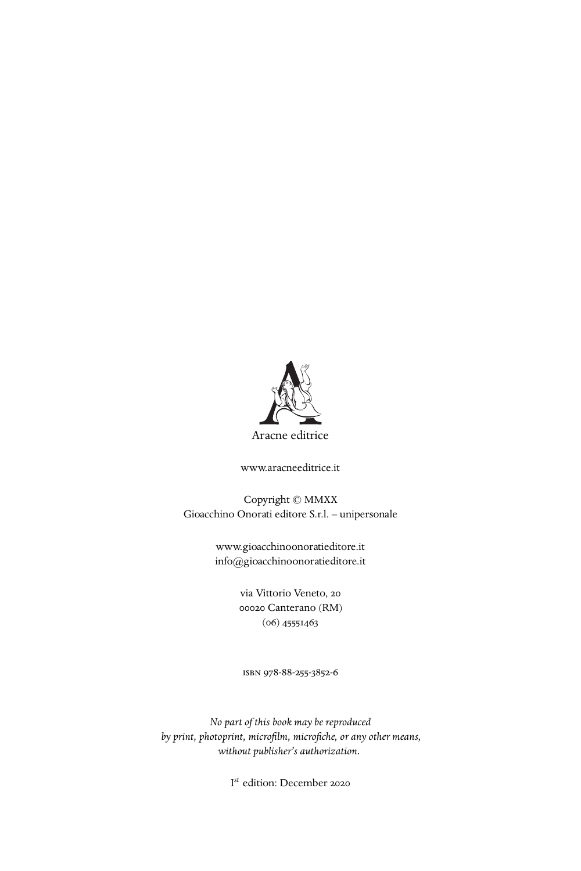

<www.aracneeditrice.it>

Copyright © MMXX Gioacchino Onorati editore S.r.l. – unipersonale

> <www.gioacchinoonoratieditore.it> <info@gioacchinoonoratieditore.it>

> > via Vittorio Veneto, ooozo Canterano (RM)  $(06)$  45551463

ISBN 978-88-255-3852-6

*No part of this book may be reproduced by print, photoprint, microfilm, microfiche, or any other means, without publisher's authorization.*

I *st* edition: December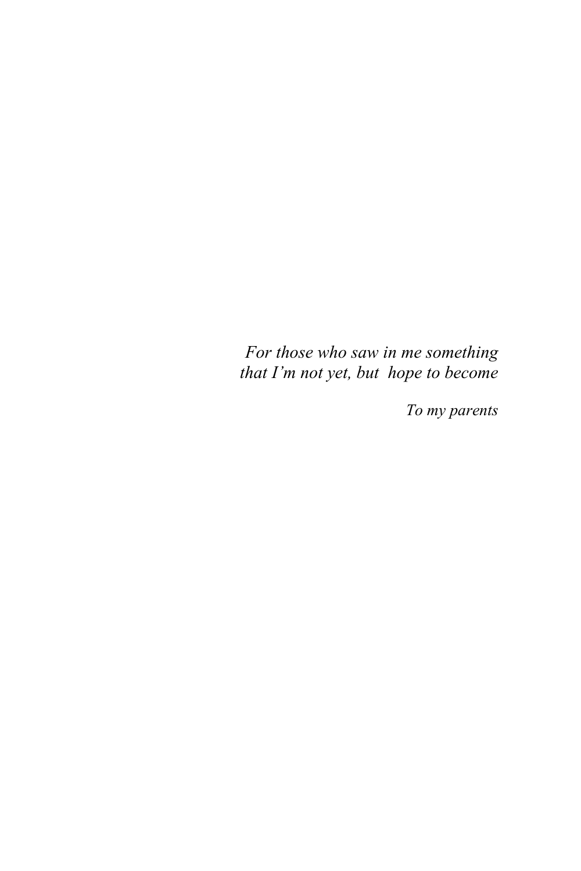## *For those who saw in me something that I'm not yet, but hope to become*

*To my parents*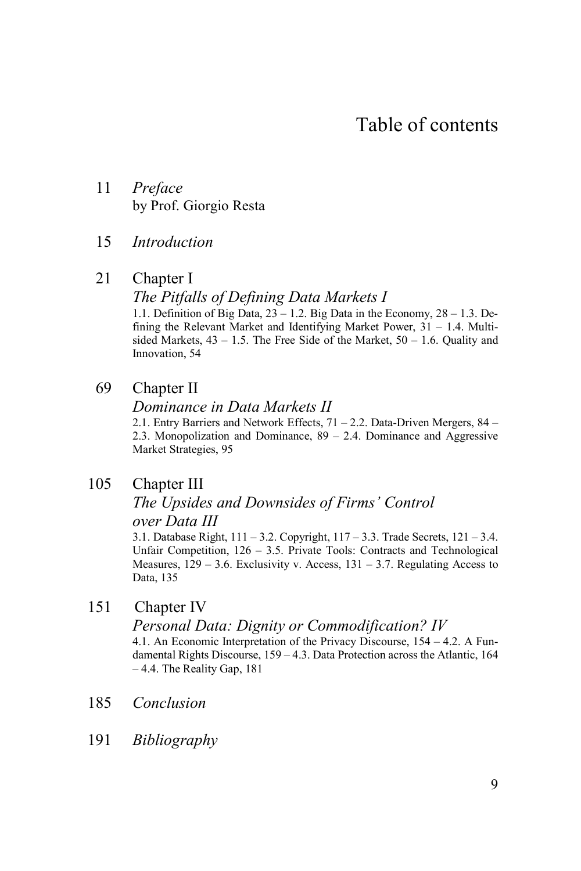## Table of contents

### 11 *Preface* by Prof. Giorgio Resta

#### 15 *Introduction*

#### 21 Chapter I

#### *The Pitfalls of Defining Data Markets I*

1.1. Definition of Big Data,  $23 - 1.2$ . Big Data in the Economy,  $28 - 1.3$ . Defining the Relevant Market and Identifying Market Power, 31 – 1.4. Multisided Markets,  $43 - 1.5$ . The Free Side of the Market,  $50 - 1.6$ . Quality and Innovation, 54

#### 69 Chapter II

#### *Dominance in Data Markets II*

2.1. Entry Barriers and Network Effects, 71 – 2.2. Data-Driven Mergers, 84 – 2.3. Monopolization and Dominance, 89 – 2.4. Dominance and Aggressive Market Strategies, 95

#### 105 Chapter III

#### *The Upsides and Downsides of Firms' Control over Data III*

3.1. Database Right, 111 – 3.2. Copyright, 117 – 3.3. Trade Secrets, 121 – 3.4. Unfair Competition, 126 – 3.5. Private Tools: Contracts and Technological Measures,  $129 - 3.6$ . Exclusivity v. Access,  $131 - 3.7$ . Regulating Access to Data, 135

#### 151 Chapter IV

#### *Personal Data: Dignity or Commodification? IV*

4.1. An Economic Interpretation of the Privacy Discourse, 154 – 4.2. A Fundamental Rights Discourse, 159 – 4.3. Data Protection across the Atlantic, 164 – 4.4. The Reality Gap, 181

185 *Conclusion*

#### 191 *Bibliography*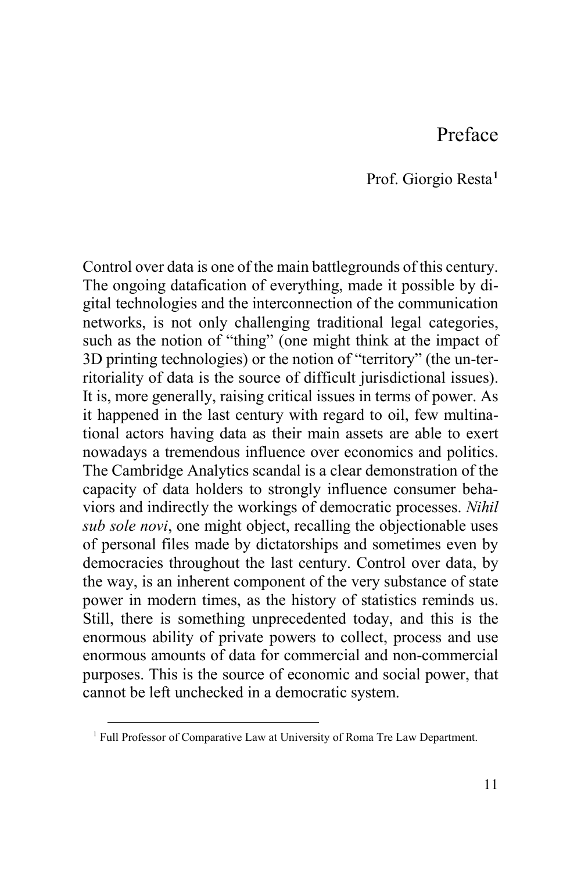## Preface

### Prof. Giorgio Resta**<sup>1</sup>**

Control over data is one of the main battlegrounds of this century. The ongoing datafication of everything, made it possible by digital technologies and the interconnection of the communication networks, is not only challenging traditional legal categories, such as the notion of "thing" (one might think at the impact of 3D printing technologies) or the notion of "territory" (the un-territoriality of data is the source of difficult jurisdictional issues). It is, more generally, raising critical issues in terms of power. As it happened in the last century with regard to oil, few multinational actors having data as their main assets are able to exert nowadays a tremendous influence over economics and politics. The Cambridge Analytics scandal is a clear demonstration of the capacity of data holders to strongly influence consumer behaviors and indirectly the workings of democratic processes. *Nihil sub sole novi*, one might object, recalling the objectionable uses of personal files made by dictatorships and sometimes even by democracies throughout the last century. Control over data, by the way, is an inherent component of the very substance of state power in modern times, as the history of statistics reminds us. Still, there is something unprecedented today, and this is the enormous ability of private powers to collect, process and use enormous amounts of data for commercial and non-commercial purposes. This is the source of economic and social power, that cannot be left unchecked in a democratic system.

 <sup>1</sup> Full Professor of Comparative Law at University of Roma Tre Law Department.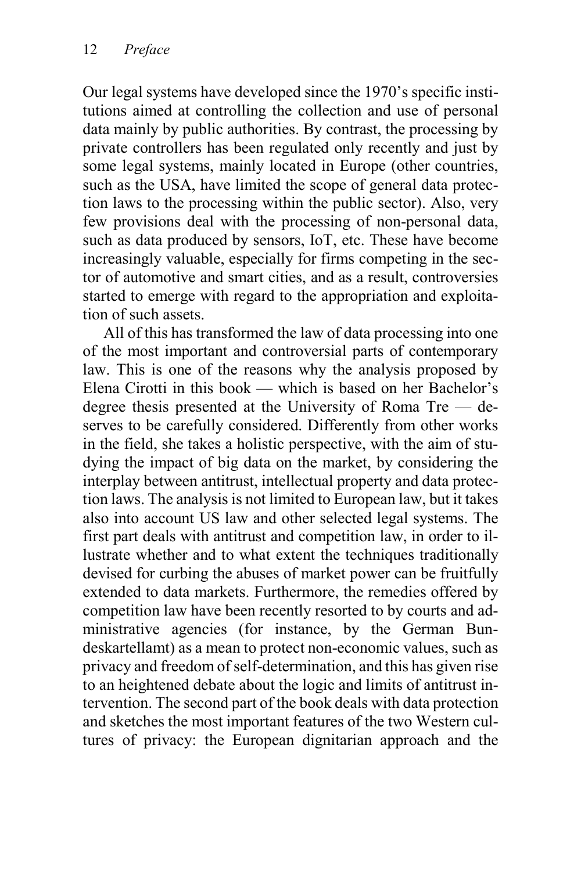Our legal systems have developed since the 1970's specific institutions aimed at controlling the collection and use of personal data mainly by public authorities. By contrast, the processing by private controllers has been regulated only recently and just by some legal systems, mainly located in Europe (other countries, such as the USA, have limited the scope of general data protection laws to the processing within the public sector). Also, very few provisions deal with the processing of non-personal data, such as data produced by sensors, IoT, etc. These have become increasingly valuable, especially for firms competing in the sector of automotive and smart cities, and as a result, controversies started to emerge with regard to the appropriation and exploitation of such assets.

All of this has transformed the law of data processing into one of the most important and controversial parts of contemporary law. This is one of the reasons why the analysis proposed by Elena Cirotti in this book — which is based on her Bachelor's degree thesis presented at the University of Roma Tre — deserves to be carefully considered. Differently from other works in the field, she takes a holistic perspective, with the aim of studying the impact of big data on the market, by considering the interplay between antitrust, intellectual property and data protection laws. The analysis is not limited to European law, but it takes also into account US law and other selected legal systems. The first part deals with antitrust and competition law, in order to illustrate whether and to what extent the techniques traditionally devised for curbing the abuses of market power can be fruitfully extended to data markets. Furthermore, the remedies offered by competition law have been recently resorted to by courts and administrative agencies (for instance, by the German Bundeskartellamt) as a mean to protect non-economic values, such as privacy and freedom of self-determination, and this has given rise to an heightened debate about the logic and limits of antitrust intervention. The second part of the book deals with data protection and sketches the most important features of the two Western cultures of privacy: the European dignitarian approach and the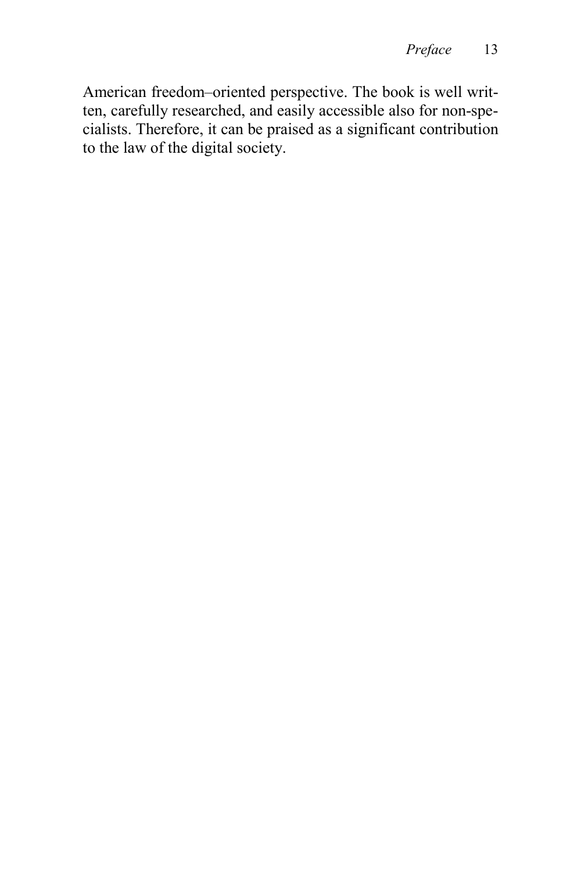American freedom–oriented perspective. The book is well written, carefully researched, and easily accessible also for non-specialists. Therefore, it can be praised as a significant contribution to the law of the digital society.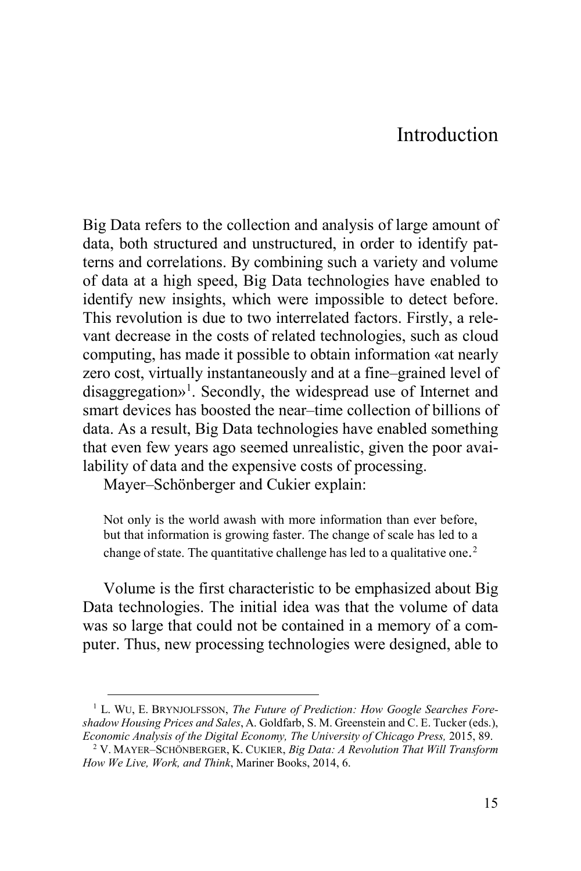## Introduction

Big Data refers to the collection and analysis of large amount of data, both structured and unstructured, in order to identify patterns and correlations. By combining such a variety and volume of data at a high speed, Big Data technologies have enabled to identify new insights, which were impossible to detect before. This revolution is due to two interrelated factors. Firstly, a relevant decrease in the costs of related technologies, such as cloud computing, has made it possible to obtain information «at nearly zero cost, virtually instantaneously and at a fine–grained level of disaggregation»<sup>1</sup>. Secondly, the widespread use of Internet and smart devices has boosted the near–time collection of billions of data. As a result, Big Data technologies have enabled something that even few years ago seemed unrealistic, given the poor availability of data and the expensive costs of processing.

Mayer–Schönberger and Cukier explain:

Not only is the world awash with more information than ever before, but that information is growing faster. The change of scale has led to a change of state. The quantitative challenge has led to a qualitative one.<sup>2</sup>

Volume is the first characteristic to be emphasized about Big Data technologies. The initial idea was that the volume of data was so large that could not be contained in a memory of a computer. Thus, new processing technologies were designed, able to

<sup>&</sup>lt;sup>1</sup> L. WU, E. BRYNJOLFSSON, *The Future of Prediction: How Google Searches Foreshadow Housing Prices and Sales*, A. Goldfarb, S. M. Greenstein and C. E. Tucker (eds.), *Economic Analysis of the Digital Economy, The University of Chicago Press,* 2015, 89.

<sup>2</sup> V. MAYER–SCHÖNBERGER, K. CUKIER, *Big Data: A Revolution That Will Transform How We Live, Work, and Think*, Mariner Books, 2014, 6.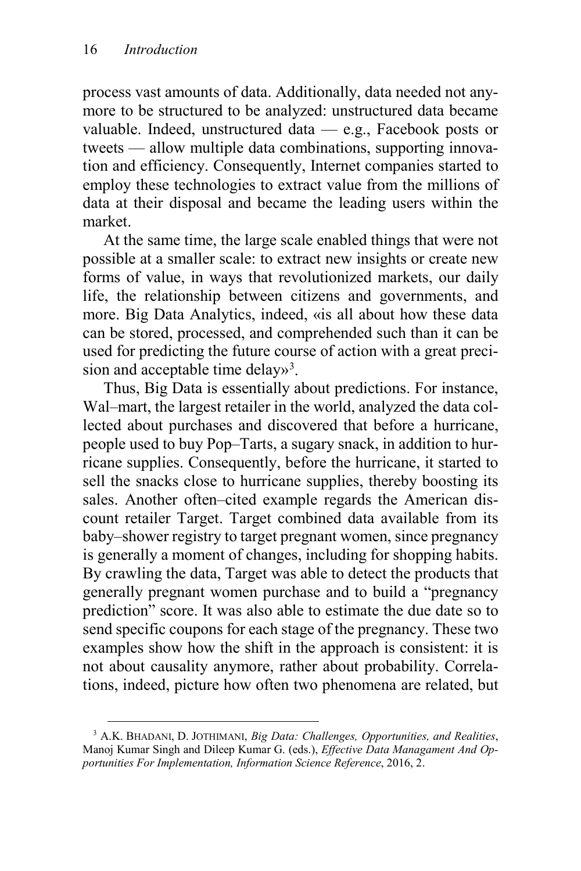process vast amounts of data. Additionally, data needed not anymore to be structured to be analyzed: unstructured data became valuable. Indeed, unstructured data — e.g., Facebook posts or tweets — allow multiple data combinations, supporting innovation and efficiency. Consequently, Internet companies started to employ these technologies to extract value from the millions of data at their disposal and became the leading users within the market.

At the same time, the large scale enabled things that were not possible at a smaller scale: to extract new insights or create new forms of value, in ways that revolutionized markets, our daily life, the relationship between citizens and governments, and more. Big Data Analytics, indeed, «is all about how these data can be stored, processed, and comprehended such than it can be used for predicting the future course of action with a great precision and acceptable time delay»<sup>3</sup>.

Thus, Big Data is essentially about predictions. For instance, Wal–mart, the largest retailer in the world, analyzed the data collected about purchases and discovered that before a hurricane, people used to buy Pop–Tarts, a sugary snack, in addition to hurricane supplies. Consequently, before the hurricane, it started to sell the snacks close to hurricane supplies, thereby boosting its sales. Another often–cited example regards the American discount retailer Target. Target combined data available from its baby–shower registry to target pregnant women, since pregnancy is generally a moment of changes, including for shopping habits. By crawling the data, Target was able to detect the products that generally pregnant women purchase and to build a "pregnancy prediction" score. It was also able to estimate the due date so to send specific coupons for each stage of the pregnancy. These two examples show how the shift in the approach is consistent: it is not about causality anymore, rather about probability. Correlations, indeed, picture how often two phenomena are related, but

 <sup>3</sup> A.K. BHADANI, D. JOTHIMANI, *Big Data: Challenges, Opportunities, and Realities*, Manoj Kumar Singh and Dileep Kumar G. (eds.), *Effective Data Managament And Opportunities For Implementation, Information Science Reference*, 2016, 2.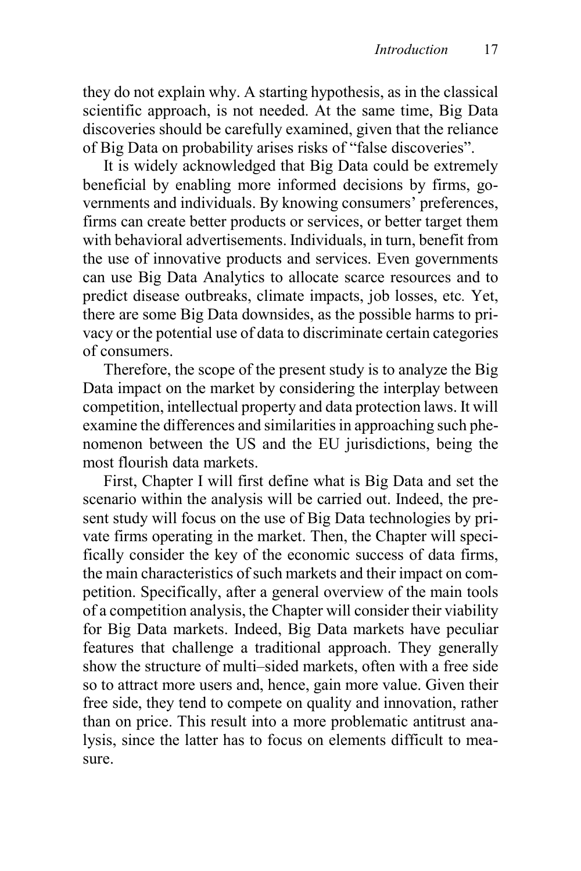they do not explain why. A starting hypothesis, as in the classical scientific approach, is not needed. At the same time, Big Data discoveries should be carefully examined, given that the reliance of Big Data on probability arises risks of "false discoveries".

It is widely acknowledged that Big Data could be extremely beneficial by enabling more informed decisions by firms, governments and individuals. By knowing consumers' preferences, firms can create better products or services, or better target them with behavioral advertisements. Individuals, in turn, benefit from the use of innovative products and services. Even governments can use Big Data Analytics to allocate scarce resources and to predict disease outbreaks, climate impacts, job losses, etc*.* Yet, there are some Big Data downsides, as the possible harms to privacy or the potential use of data to discriminate certain categories of consumers.

Therefore, the scope of the present study is to analyze the Big Data impact on the market by considering the interplay between competition, intellectual property and data protection laws. It will examine the differences and similarities in approaching such phenomenon between the US and the EU jurisdictions, being the most flourish data markets.

First, Chapter I will first define what is Big Data and set the scenario within the analysis will be carried out. Indeed, the present study will focus on the use of Big Data technologies by private firms operating in the market. Then, the Chapter will specifically consider the key of the economic success of data firms, the main characteristics of such markets and their impact on competition. Specifically, after a general overview of the main tools of a competition analysis, the Chapter will consider their viability for Big Data markets. Indeed, Big Data markets have peculiar features that challenge a traditional approach. They generally show the structure of multi–sided markets, often with a free side so to attract more users and, hence, gain more value. Given their free side, they tend to compete on quality and innovation, rather than on price. This result into a more problematic antitrust analysis, since the latter has to focus on elements difficult to measure.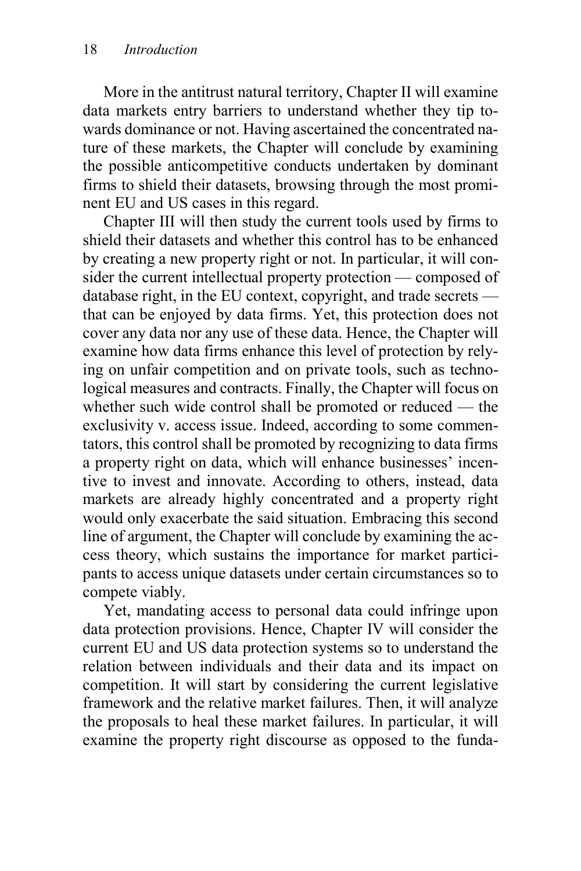More in the antitrust natural territory, Chapter II will examine data markets entry barriers to understand whether they tip towards dominance or not. Having ascertained the concentrated nature of these markets, the Chapter will conclude by examining the possible anticompetitive conducts undertaken by dominant firms to shield their datasets, browsing through the most prominent EU and US cases in this regard.

Chapter III will then study the current tools used by firms to shield their datasets and whether this control has to be enhanced by creating a new property right or not. In particular, it will consider the current intellectual property protection — composed of database right, in the EU context, copyright, and trade secrets that can be enjoyed by data firms. Yet, this protection does not cover any data nor any use of these data. Hence, the Chapter will examine how data firms enhance this level of protection by relying on unfair competition and on private tools, such as technological measures and contracts. Finally, the Chapter will focus on whether such wide control shall be promoted or reduced — the exclusivity v. access issue. Indeed, according to some commentators, this control shall be promoted by recognizing to data firms a property right on data, which will enhance businesses' incentive to invest and innovate. According to others, instead, data markets are already highly concentrated and a property right would only exacerbate the said situation. Embracing this second line of argument, the Chapter will conclude by examining the access theory, which sustains the importance for market participants to access unique datasets under certain circumstances so to compete viably.

Yet, mandating access to personal data could infringe upon data protection provisions. Hence, Chapter IV will consider the current EU and US data protection systems so to understand the relation between individuals and their data and its impact on competition. It will start by considering the current legislative framework and the relative market failures. Then, it will analyze the proposals to heal these market failures. In particular, it will examine the property right discourse as opposed to the funda